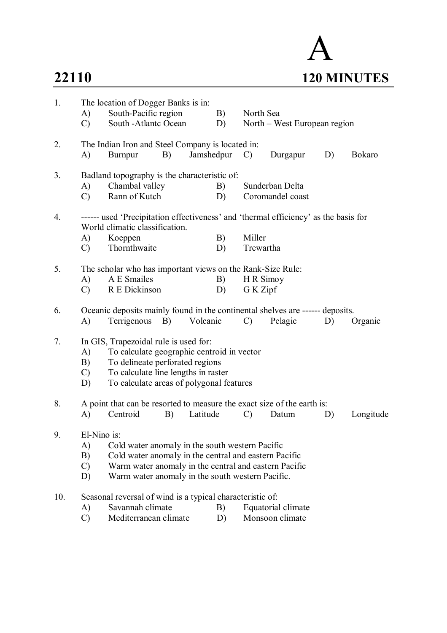

| 1.  | A)<br>$\mathcal{C}$                                                                                                                                                                                                                                                     | The location of Dogger Banks is in:<br>South-Pacific region<br>South - Atlantc Ocean                   |    |            | B)<br>D) | North Sea             | North – West European region          |    |               |
|-----|-------------------------------------------------------------------------------------------------------------------------------------------------------------------------------------------------------------------------------------------------------------------------|--------------------------------------------------------------------------------------------------------|----|------------|----------|-----------------------|---------------------------------------|----|---------------|
| 2.  | A)                                                                                                                                                                                                                                                                      | The Indian Iron and Steel Company is located in:<br>Burnpur                                            | B) | Jamshedpur |          | $\mathcal{C}$         | Durgapur                              | D) | <b>Bokaro</b> |
| 3.  | A)<br>$\mathcal{C}$                                                                                                                                                                                                                                                     | Badland topography is the characteristic of:<br>Chambal valley<br>Rann of Kutch                        |    |            | B)<br>D) |                       | Sunderban Delta<br>Coromandel coast   |    |               |
| 4.  | ------ used 'Precipitation effectiveness' and 'thermal efficiency' as the basis for<br>World climatic classification.<br>Miller<br>B)<br>A)<br>Koeppen<br>Thornthwaite<br>Trewartha<br>D)<br>$\mathcal{C}$                                                              |                                                                                                        |    |            |          |                       |                                       |    |               |
| 5.  | A)<br>$\mathcal{C}$                                                                                                                                                                                                                                                     | The scholar who has important views on the Rank-Size Rule:<br>A E Smailes<br>R E Dickinson             |    |            | B)<br>D) | H R Simoy<br>G K Zipf |                                       |    |               |
| 6.  | A)                                                                                                                                                                                                                                                                      | Oceanic deposits mainly found in the continental shelves are ------ deposits.<br>Terrigenous           | B) | Volcanic   |          | $\mathcal{C}$         | Pelagic                               | D) | Organic       |
| 7.  | In GIS, Trapezoidal rule is used for:<br>To calculate geographic centroid in vector<br>A)<br>To delineate perforated regions<br>B)<br>To calculate line lengths in raster<br>$\mathcal{C}$<br>To calculate areas of polygonal features<br>D)                            |                                                                                                        |    |            |          |                       |                                       |    |               |
| 8.  | A)                                                                                                                                                                                                                                                                      | A point that can be resorted to measure the exact size of the earth is:<br>Centroid                    | B) | Latitude   |          | $\mathcal{C}$         | Datum                                 | D) | Longitude     |
| 9.  | El-Nino is:<br>A)<br>Cold water anomaly in the south western Pacific<br>B)<br>Cold water anomaly in the central and eastern Pacific<br>Warm water anomaly in the central and eastern Pacific<br>$\mathcal{C}$<br>Warm water anomaly in the south western Pacific.<br>D) |                                                                                                        |    |            |          |                       |                                       |    |               |
| 10. | A)<br>$\mathcal{C}$                                                                                                                                                                                                                                                     | Seasonal reversal of wind is a typical characteristic of:<br>Savannah climate<br>Mediterranean climate |    |            | B)<br>D) |                       | Equatorial climate<br>Monsoon climate |    |               |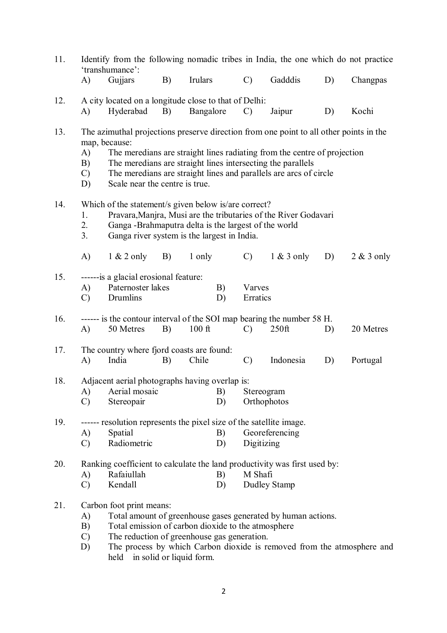| 11. | A)                              | Identify from the following nomadic tribes in India, the one which do not practice<br>'transhumance':<br>Gujjars                                                                                                               | B) | Irulars   |          | $\mathcal{C}$             | Gadddis                                                                                                                                       | D) | Changpas     |
|-----|---------------------------------|--------------------------------------------------------------------------------------------------------------------------------------------------------------------------------------------------------------------------------|----|-----------|----------|---------------------------|-----------------------------------------------------------------------------------------------------------------------------------------------|----|--------------|
|     |                                 |                                                                                                                                                                                                                                |    |           |          |                           |                                                                                                                                               |    |              |
| 12. | A)                              | A city located on a longitude close to that of Delhi:<br>Hyderabad                                                                                                                                                             | B) | Bangalore |          | $\mathcal{C}$             | Jaipur                                                                                                                                        | D) | Kochi        |
| 13. | A)<br>B)<br>$\mathcal{C}$<br>D) | The azimuthal projections preserve direction from one point to all other points in the<br>map, because:<br>The meredians are straight lines intersecting the parallels<br>Scale near the centre is true.                       |    |           |          |                           | The meredians are straight lines radiating from the centre of projection<br>The meredians are straight lines and parallels are arcs of circle |    |              |
| 14. | 1.<br>2.<br>3 <sub>1</sub>      | Which of the statement/s given below is/are correct?<br>Pravara, Manjra, Musi are the tributaries of the River Godavari<br>Ganga -Brahmaputra delta is the largest of the world<br>Ganga river system is the largest in India. |    |           |          |                           |                                                                                                                                               |    |              |
|     | $\mathbf{A}$                    | $1 & 2$ only                                                                                                                                                                                                                   | B) | 1 only    |          | $\mathcal{C}$             | $1 & 3$ only                                                                                                                                  | D) | $2 & 3$ only |
| 15. | A)<br>$\mathcal{C}$             | ------is a glacial erosional feature:<br>Paternoster lakes<br>Drumlins                                                                                                                                                         |    |           | B)<br>D) | Varves<br>Erratics        |                                                                                                                                               |    |              |
| 16. | A)                              | ------ is the contour interval of the SOI map bearing the number 58 H.<br>50 Metres                                                                                                                                            | B) | $100$ ft  |          | $\mathcal{C}$             | $250$ ft                                                                                                                                      | D) | 20 Metres    |
| 17. | A)                              | The country where fjord coasts are found:<br>India                                                                                                                                                                             | B) | Chile     |          | $\mathcal{C}$             | Indonesia                                                                                                                                     | D) | Portugal     |
| 18. |                                 | Adjacent aerial photographs having overlap is:                                                                                                                                                                                 |    |           |          |                           |                                                                                                                                               |    |              |
|     | A)<br>$\mathcal{C}$             | Aerial mosaic<br>Stereopair                                                                                                                                                                                                    |    |           | B)<br>D) | Stereogram<br>Orthophotos |                                                                                                                                               |    |              |
| 19. | A)<br>$\mathcal{C}$             | ------ resolution represents the pixel size of the satellite image.<br>Spatial<br>Radiometric                                                                                                                                  |    |           | B)<br>D) | Digitizing                | Georeferencing                                                                                                                                |    |              |
| 20. | A)<br>$\mathcal{C}$             | Ranking coefficient to calculate the land productivity was first used by:<br>Rafaiullah<br>Kendall                                                                                                                             |    |           | B)<br>D) | M Shafi                   |                                                                                                                                               |    |              |
| 21. | A)<br>B)<br>$\mathcal{C}$       | <b>Dudley Stamp</b><br>Carbon foot print means:<br>Total amount of greenhouse gases generated by human actions.<br>Total emission of carbon dioxide to the atmosphere<br>The reduction of greenhouse gas generation.           |    |           |          |                           |                                                                                                                                               |    |              |

D) The process by which Carbon dioxide is removed from the atmosphere and held in solid or liquid form.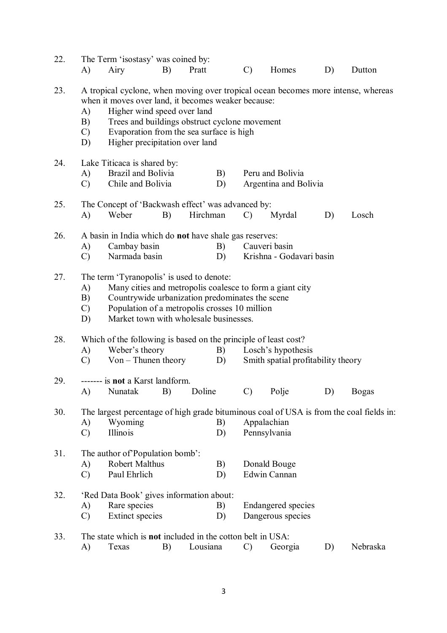| 22. |                                 | The Term 'isostasy' was coined by:                                                                                   |    |                                                                                           |                 |                                    |    |                                                                                         |
|-----|---------------------------------|----------------------------------------------------------------------------------------------------------------------|----|-------------------------------------------------------------------------------------------|-----------------|------------------------------------|----|-----------------------------------------------------------------------------------------|
|     | A)                              | Airy                                                                                                                 | B) | Pratt                                                                                     | $\mathcal{C}$   | Homes                              | D) | Dutton                                                                                  |
| 23. | A)<br>B)<br>$\mathcal{C}$<br>D) | when it moves over land, it becomes weaker because:<br>Higher wind speed over land<br>Higher precipitation over land |    | Trees and buildings obstruct cyclone movement<br>Evaporation from the sea surface is high |                 |                                    |    | A tropical cyclone, when moving over tropical ocean becomes more intense, whereas       |
| 24. |                                 | Lake Titicaca is shared by:                                                                                          |    |                                                                                           |                 |                                    |    |                                                                                         |
|     | A)                              | Brazil and Bolivia                                                                                                   |    | B)                                                                                        |                 | Peru and Bolivia                   |    |                                                                                         |
|     | $\mathcal{C}$                   | Chile and Bolivia                                                                                                    |    | D)                                                                                        |                 | Argentina and Bolivia              |    |                                                                                         |
| 25. |                                 | The Concept of 'Backwash effect' was advanced by:                                                                    |    |                                                                                           |                 |                                    |    |                                                                                         |
|     | A)                              | Weber                                                                                                                | B) | Hirchman                                                                                  | $\mathcal{C}$   | Myrdal                             | D) | Losch                                                                                   |
| 26. |                                 | A basin in India which do <b>not</b> have shale gas reserves:                                                        |    |                                                                                           |                 |                                    |    |                                                                                         |
|     | A)                              | Cambay basin                                                                                                         |    | B)                                                                                        |                 | Cauveri basin                      |    |                                                                                         |
|     | $\mathcal{C}$                   | Narmada basin                                                                                                        |    | D)                                                                                        |                 | Krishna - Godavari basin           |    |                                                                                         |
| 27. |                                 | The term 'Tyranopolis' is used to denote:                                                                            |    |                                                                                           |                 |                                    |    |                                                                                         |
|     | A)                              |                                                                                                                      |    | Many cities and metropolis coalesce to form a giant city                                  |                 |                                    |    |                                                                                         |
|     | B)                              |                                                                                                                      |    | Countrywide urbanization predominates the scene                                           |                 |                                    |    |                                                                                         |
|     | $\mathcal{C}$                   |                                                                                                                      |    | Population of a metropolis crosses 10 million                                             |                 |                                    |    |                                                                                         |
|     | D)                              |                                                                                                                      |    | Market town with wholesale businesses.                                                    |                 |                                    |    |                                                                                         |
| 28. |                                 | Which of the following is based on the principle of least cost?                                                      |    |                                                                                           |                 |                                    |    |                                                                                         |
|     | A)                              | Weber's theory                                                                                                       |    | B)                                                                                        |                 | Losch's hypothesis                 |    |                                                                                         |
|     | $\mathcal{C}$                   | $Von$ – Thunen theory                                                                                                |    | D)                                                                                        |                 | Smith spatial profitability theory |    |                                                                                         |
| 29. |                                 | ------- is not a Karst landform.                                                                                     |    |                                                                                           |                 |                                    |    |                                                                                         |
|     |                                 | A) Nunatak B)                                                                                                        |    | Doline                                                                                    | $\mathcal{C}$ ) | Polje                              | D) | <b>Bogas</b>                                                                            |
| 30. |                                 |                                                                                                                      |    |                                                                                           |                 |                                    |    | The largest percentage of high grade bituminous coal of USA is from the coal fields in: |
|     | A)                              | Wyoming                                                                                                              |    | B)                                                                                        |                 | Appalachian                        |    |                                                                                         |
|     | $\mathcal{C}$                   | Illinois                                                                                                             |    | D)                                                                                        |                 | Pennsylvania                       |    |                                                                                         |
| 31. |                                 | The author of Population bomb':                                                                                      |    |                                                                                           |                 |                                    |    |                                                                                         |
|     | A)                              | <b>Robert Malthus</b>                                                                                                |    | B)                                                                                        |                 | Donald Bouge                       |    |                                                                                         |
|     | $\mathcal{C}$                   | Paul Ehrlich                                                                                                         |    | D)                                                                                        |                 | Edwin Cannan                       |    |                                                                                         |
| 32. |                                 | 'Red Data Book' gives information about:                                                                             |    |                                                                                           |                 |                                    |    |                                                                                         |
|     | A)                              | Rare species                                                                                                         |    | B)                                                                                        |                 | <b>Endangered species</b>          |    |                                                                                         |
|     | $\mathcal{C}$                   | <b>Extinct species</b>                                                                                               |    | D)                                                                                        |                 | Dangerous species                  |    |                                                                                         |
| 33. |                                 | The state which is <b>not</b> included in the cotton belt in USA:                                                    |    |                                                                                           |                 |                                    |    |                                                                                         |
|     | A)                              | Texas                                                                                                                | B) | Lousiana                                                                                  | $\mathcal{C}$   | Georgia                            | D) | Nebraska                                                                                |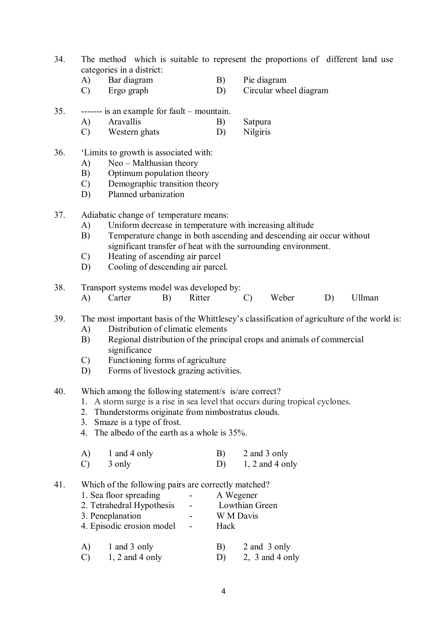- 34. The method which is suitable to represent the proportions of different land use categories in a district:
	- A) Bar diagram B) Pie diagram
	- C) Ergo graph D) Circular wheel diagram
- 35. ------- is an example for fault mountain.
	- A) Aravallis B) Satpura
	- C) Western ghats D) Nilgiris
- 36. 'Limits to growth is associated with:
	- A) Neo Malthusian theory
	- B) Optimum population theory
	- C) Demographic transition theory
	- D) Planned urbanization
- 37. Adiabatic change of temperature means:
	- A) Uniform decrease in temperature with increasing altitude
	- B) Temperature change in both ascending and descending air occur without significant transfer of heat with the surrounding environment.
	- C) Heating of ascending air parcel
	- D) Cooling of descending air parcel.
- 38. Transport systems model was developed by:
	- A) Carter B) Ritter C) Weber D) Ullman
- 39. The most important basis of the Whittlesey's classification of agriculture of the world is:
	- A) Distribution of climatic elements
	- B) Regional distribution of the principal crops and animals of commercial significance
	- C) Functioning forms of agriculture
	- D) Forms of livestock grazing activities.
- 40. Which among the following statement/s is/are correct?
	- 1. A storm surge is a rise in sea level that occurs during tropical cyclones.
	- 2. Thunderstorms originate from nimbostratus clouds.
	- 3. Smaze is a type of frost.
	- 4. The albedo of the earth as a whole is 35%.

| A)            | 1 and 4 only | B) | 2 and 3 only      |
|---------------|--------------|----|-------------------|
| $\mathcal{C}$ | 3 only       |    | $1, 2$ and 4 only |

41. Which of the following pairs are correctly matched?

| 1. Sea floor spreading    |       | A Wegener      |
|---------------------------|-------|----------------|
| 2. Tetrahedral Hypothesis |       | Lowthian Green |
| 3. Peneplanation          |       | W M Davis      |
| 4. Episodic erosion model | Hack  |                |
|                           |       |                |
| 1 and 3 only<br>A)        | $B$ ) | 2 and 3 only   |

C) 1, 2 and 4 only D) 2, 3 and 4 only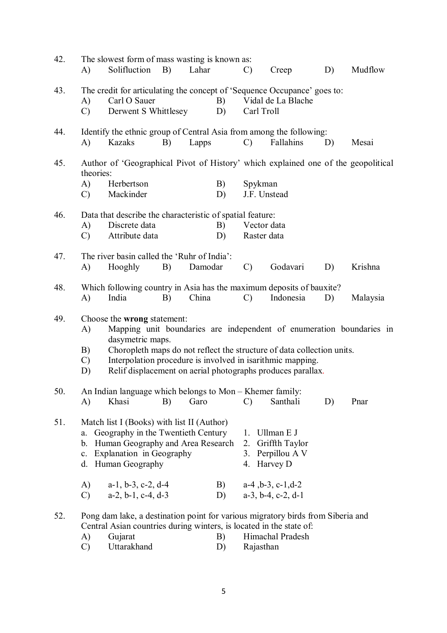| 42. | A)                                                        | The slowest form of mass wasting is known as:<br>Solifluction                                                                                                                                                                                                                                                                  | B) | Lahar   |          | $\mathcal{C}$                                                                     |                                                                | Creep                              | D) | Mudflow  |
|-----|-----------------------------------------------------------|--------------------------------------------------------------------------------------------------------------------------------------------------------------------------------------------------------------------------------------------------------------------------------------------------------------------------------|----|---------|----------|-----------------------------------------------------------------------------------|----------------------------------------------------------------|------------------------------------|----|----------|
| 43. | A)<br>$\mathcal{C}$                                       | The credit for articulating the concept of 'Sequence Occupance' goes to:<br>Carl O Sauer<br>Derwent S Whittlesey                                                                                                                                                                                                               |    |         | B)<br>D) |                                                                                   | Carl Troll                                                     | Vidal de La Blache                 |    |          |
| 44. | A)                                                        | Identify the ethnic group of Central Asia from among the following:<br>Kazaks                                                                                                                                                                                                                                                  | B) | Lapps   |          | $\mathcal{C}$                                                                     |                                                                | Fallahins                          | D) | Mesai    |
| 45. | theories:                                                 |                                                                                                                                                                                                                                                                                                                                |    |         |          | Author of 'Geographical Pivot of History' which explained one of the geopolitical |                                                                |                                    |    |          |
|     | A)<br>$\mathcal{C}$                                       | Herbertson<br>Mackinder                                                                                                                                                                                                                                                                                                        |    |         | B)<br>D) |                                                                                   | Spykman<br>J.F. Unstead                                        |                                    |    |          |
| 46. | Data that describe the characteristic of spatial feature: |                                                                                                                                                                                                                                                                                                                                |    |         |          |                                                                                   |                                                                |                                    |    |          |
|     | A)<br>$\mathcal{C}$                                       | Discrete data<br>Attribute data                                                                                                                                                                                                                                                                                                |    |         | B)<br>D) |                                                                                   | Vector data<br>Raster data                                     |                                    |    |          |
| 47. |                                                           | The river basin called the 'Ruhr of India':                                                                                                                                                                                                                                                                                    |    |         |          |                                                                                   |                                                                |                                    |    |          |
|     | A)                                                        | Hooghly                                                                                                                                                                                                                                                                                                                        | B) | Damodar |          | $\mathcal{C}$                                                                     |                                                                | Godavari                           | D) | Krishna  |
| 48. | A)                                                        | Which following country in Asia has the maximum deposits of bauxite?<br>India                                                                                                                                                                                                                                                  | B) | China   |          | $\mathcal{C}$                                                                     |                                                                | Indonesia                          | D) | Malaysia |
| 49. | A)<br>B)<br>$\mathcal{C}$<br>D)                           | Choose the wrong statement:<br>Mapping unit boundaries are independent of enumeration boundaries in<br>dasymetric maps.<br>Choropleth maps do not reflect the structure of data collection units.<br>Interpolation procedure is involved in isarithmic mapping.<br>Relif displacement on aerial photographs produces parallax. |    |         |          |                                                                                   |                                                                |                                    |    |          |
| 50. |                                                           | An Indian language which belongs to Mon - Khemer family:                                                                                                                                                                                                                                                                       |    |         |          |                                                                                   |                                                                |                                    |    |          |
|     | A)                                                        | Khasi                                                                                                                                                                                                                                                                                                                          | B) | Garo    |          | $\mathcal{C}$                                                                     |                                                                | Santhali                           | D) | Pnar     |
| 51. | a.<br>b.<br>$\mathbf{c}$ .                                | Match list I (Books) with list II (Author)<br>Geography in the Twentieth Century<br>Human Geography and Area Research<br>Explanation in Geography<br>d. Human Geography                                                                                                                                                        |    |         |          | 1.<br>2.<br>4.                                                                    | Ullman E J<br>Harvey D                                         | Griffth Taylor<br>3. Perpillou A V |    |          |
|     | A)<br>$\mathcal{C}$                                       | $a-1$ , $b-3$ , $c-2$ , $d-4$<br>$a-2, b-1, c-4, d-3$                                                                                                                                                                                                                                                                          |    |         | B)<br>D) |                                                                                   | $a-4$ , $b-3$ , $c-1$ , $d-2$<br>$a-3$ , $b-4$ , $c-2$ , $d-1$ |                                    |    |          |
| 52. | A)<br>$\mathcal{C}$                                       | Pong dam lake, a destination point for various migratory birds from Siberia and<br>Central Asian countries during winters, is located in the state of:<br>Gujarat<br>Uttarakhand                                                                                                                                               |    |         | B)<br>D) |                                                                                   | Rajasthan                                                      | Himachal Pradesh                   |    |          |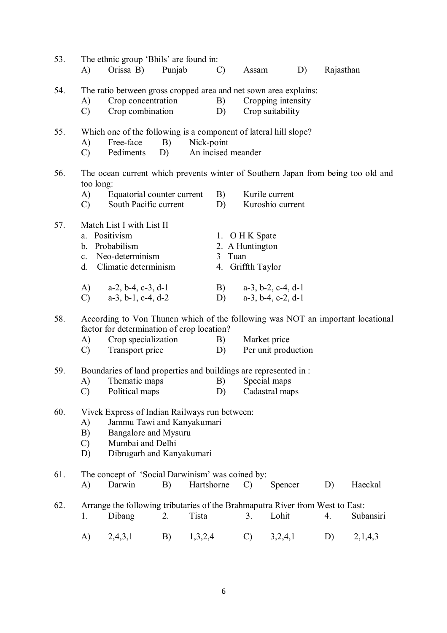| 53. | A)                                                                                                                                                                                      | The ethnic group 'Bhils' are found in:<br>Orissa B)                                                                                                                    | Punjab |               | $\mathcal{C}$ )    | Assam                                                  |                                        | D) | Rajasthan |           |
|-----|-----------------------------------------------------------------------------------------------------------------------------------------------------------------------------------------|------------------------------------------------------------------------------------------------------------------------------------------------------------------------|--------|---------------|--------------------|--------------------------------------------------------|----------------------------------------|----|-----------|-----------|
| 54. | A)<br>$\mathcal{C}$                                                                                                                                                                     | The ratio between gross cropped area and net sown area explains:<br>Crop concentration<br>Crop combination                                                             |        |               | B)<br>D)           |                                                        | Cropping intensity<br>Crop suitability |    |           |           |
| 55. | A)<br>$\mathcal{C}$ )                                                                                                                                                                   | Which one of the following is a component of lateral hill slope?<br>Free-face<br>Pediments                                                                             | D)     | B) Nick-point | An incised meander |                                                        |                                        |    |           |           |
| 56. | too long:<br>A)<br>$\mathcal{C}$ )                                                                                                                                                      | The ocean current which prevents winter of Southern Japan from being too old and<br>Equatorial counter current<br>South Pacific current                                |        |               | B)<br>D)           |                                                        | Kurile current<br>Kuroshio current     |    |           |           |
| 57. |                                                                                                                                                                                         | Match List I with List II<br>a. Positivism<br>b. Probabilism<br>c. Neo-determinism<br>d. Climatic determinism                                                          |        |               | 3 Tuan             | 1. O H K Spate<br>2. A Huntington<br>4. Griffth Taylor |                                        |    |           |           |
|     | $\mathcal{C}$ )                                                                                                                                                                         | A) $a-2, b-4, c-3, d-1$<br>$a-3$ , $b-1$ , $c-4$ , $d-2$                                                                                                               |        |               | D)                 | B) $a-3, b-2, c-4, d-1$                                | $a-3$ , $b-4$ , $c-2$ , $d-1$          |    |           |           |
| 58. | A)<br>$\mathcal{C}$ )                                                                                                                                                                   | According to Von Thunen which of the following was NOT an important locational<br>factor for determination of crop location?<br>Crop specialization<br>Transport price |        |               | B)<br>D)           |                                                        | Market price<br>Per unit production    |    |           |           |
| 59. | A)<br>$\mathcal{C}$                                                                                                                                                                     | Boundaries of land properties and buildings are represented in:<br>Thematic maps<br>Political maps                                                                     |        |               | B)                 | D) Cadastral maps                                      | Special maps                           |    |           |           |
| 60. | Vivek Express of Indian Railways run between:<br>Jammu Tawi and Kanyakumari<br>A)<br>B)<br>Bangalore and Mysuru<br>Mumbai and Delhi<br>$\mathcal{C}$<br>Dibrugarh and Kanyakumari<br>D) |                                                                                                                                                                        |        |               |                    |                                                        |                                        |    |           |           |
| 61. | A)                                                                                                                                                                                      | The concept of 'Social Darwinism' was coined by:<br>Darwin                                                                                                             | B)     | Hartshorne    |                    | $\mathcal{C}$                                          | Spencer                                |    | D)        | Haeckal   |
| 62. | 1.                                                                                                                                                                                      | Arrange the following tributaries of the Brahmaputra River from West to East:<br>Dibang                                                                                | 2.     | Tista         |                    | 3.                                                     | Lohit                                  |    | 4.        | Subansiri |
|     | A)                                                                                                                                                                                      | 2,4,3,1                                                                                                                                                                | B)     | 1,3,2,4       |                    | $\mathcal{C}$                                          | 3,2,4,1                                |    | D)        | 2,1,4,3   |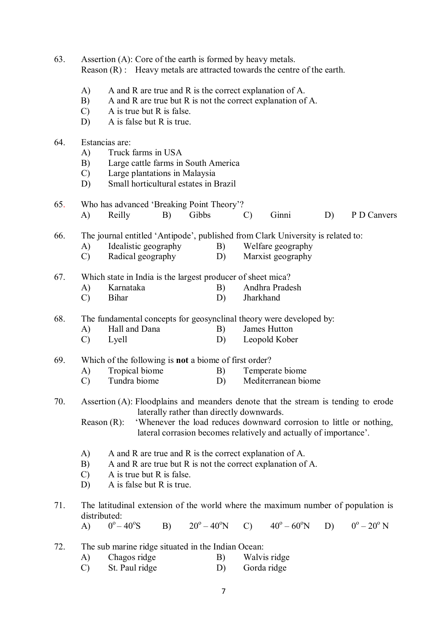63. Assertion (A): Core of the earth is formed by heavy metals. Reason (R) : Heavy metals are attracted towards the centre of the earth. A) A and R are true and R is the correct explanation of A. B) A and R are true but R is not the correct explanation of A. C) A is true but R is false. D) A is false but R is true. 64. Estancias are: A) Truck farms in USA B) Large cattle farms in South America C) Large plantations in Malaysia D) Small horticultural estates in Brazil 65. Who has advanced 'Breaking Point Theory'?<br>A) Reilly B) Gibbs A) Reilly B) Gibbs C) Ginni D) P D Canvers 66. The journal entitled 'Antipode', published from Clark University is related to: A) Idealistic geography B) Welfare geography C) Radical geography D) Marxist geography 67. Which state in India is the largest producer of sheet mica? A) Karnataka B) Andhra Pradesh C) Bihar D) Jharkhand 68. The fundamental concepts for geosynclinal theory were developed by: A) Hall and Dana B) James Hutton C) Lyell D) Leopold Kober 69. Which of the following is **not** a biome of first order? A) Tropical biome B) Temperate biome C) Tundra biome D) Mediterranean biome 70. Assertion (A): Floodplains and meanders denote that the stream is tending to erode laterally rather than directly downwards. Reason (R): 'Whenever the load reduces downward corrosion to little or nothing, lateral corrasion becomes relatively and actually of importance'. A) A and R are true and R is the correct explanation of A. B) A and R are true but R is not the correct explanation of A. C) A is true but R is false. D) A is false but R is true. 71. The latitudinal extension of the world where the maximum number of population is distributed:  $\bf{A}$  $^{\circ} - 40^{\circ}$  $B$ )  $20^{\circ} - 40^{\circ}$ N C)  $40^{\circ} - 60^{\circ}$ N  $^{\circ} - 20^{\circ}$  N 72. The sub marine ridge situated in the Indian Ocean: A) Chagos ridge B) Walvis ridge C) St. Paul ridge D) Gorda ridge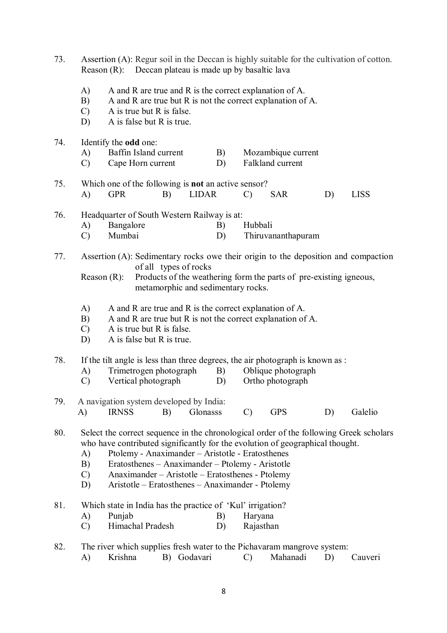| 73. | Assertion (A): Regur soil in the Deccan is highly suitable for the cultivation of cotton.<br>Reason (R): Deccan plateau is made up by basaltic lava                                                                                                                                                                                                                                                                        |  |  |  |  |  |  |
|-----|----------------------------------------------------------------------------------------------------------------------------------------------------------------------------------------------------------------------------------------------------------------------------------------------------------------------------------------------------------------------------------------------------------------------------|--|--|--|--|--|--|
|     | A)<br>A and R are true and R is the correct explanation of A.<br>B)<br>A and R are true but R is not the correct explanation of A.<br>A is true but R is false.<br>$\mathcal{C}$<br>A is false but R is true.<br>D)                                                                                                                                                                                                        |  |  |  |  |  |  |
| 74. | Identify the odd one:<br>Baffin Island current<br>A)<br>B)<br>Mozambique current<br>Falkland current<br>$\mathcal{C}$<br>Cape Horn current<br>D)                                                                                                                                                                                                                                                                           |  |  |  |  |  |  |
| 75. | Which one of the following is <b>not</b> an active sensor?<br><b>LIDAR</b><br><b>LISS</b><br>A)<br><b>GPR</b><br><b>SAR</b><br>D)<br>B)<br>$\mathcal{C}$                                                                                                                                                                                                                                                                   |  |  |  |  |  |  |
| 76. | Headquarter of South Western Railway is at:<br>Bangalore<br>A)<br>Hubbali<br>B)<br>Mumbai<br>Thiruvananthapuram<br>$\mathcal{C}$<br>D)                                                                                                                                                                                                                                                                                     |  |  |  |  |  |  |
| 77. | Assertion (A): Sedimentary rocks owe their origin to the deposition and compaction<br>of all types of rocks<br>Products of the weathering form the parts of pre-existing igneous,<br>Reason $(R)$ :<br>metamorphic and sedimentary rocks.                                                                                                                                                                                  |  |  |  |  |  |  |
|     | A)<br>A and R are true and R is the correct explanation of A.<br>B)<br>A and R are true but R is not the correct explanation of A.<br>$\mathcal{C}$<br>A is true but R is false.<br>D)<br>A is false but R is true.                                                                                                                                                                                                        |  |  |  |  |  |  |
| 78. | If the tilt angle is less than three degrees, the air photograph is known as :<br>Trimetrogen photograph<br>Oblique photograph<br>B)<br>A)<br>$\mathcal{C}$<br>Vertical photograph<br>Ortho photograph<br>D)                                                                                                                                                                                                               |  |  |  |  |  |  |
| 79. | A navigation system developed by India:<br><b>IRNSS</b><br><b>GPS</b><br>Galelio<br>A)<br>B)<br>Glonasss<br>$\mathcal{C}$<br>D)                                                                                                                                                                                                                                                                                            |  |  |  |  |  |  |
| 80. | Select the correct sequence in the chronological order of the following Greek scholars<br>who have contributed significantly for the evolution of geographical thought.<br>Ptolemy - Anaximander - Aristotle - Eratosthenes<br>A)<br>B)<br>Eratosthenes - Anaximander - Ptolemy - Aristotle<br>Anaximander - Aristotle - Eratosthenes - Ptolemy<br>$\mathcal{C}$<br>Aristotle – Eratosthenes – Anaximander - Ptolemy<br>D) |  |  |  |  |  |  |
| 81. | Which state in India has the practice of 'Kul' irrigation?<br>Punjab<br>A)<br>Haryana<br>B)<br>Himachal Pradesh<br>Rajasthan<br>$\mathcal{C}$<br>D)                                                                                                                                                                                                                                                                        |  |  |  |  |  |  |
| 82. | The river which supplies fresh water to the Pichavaram mangrove system:<br>B) Godavari<br>Mahanadi<br>Krishna<br>A)<br>$\mathcal{C}$<br>D)<br>Cauveri                                                                                                                                                                                                                                                                      |  |  |  |  |  |  |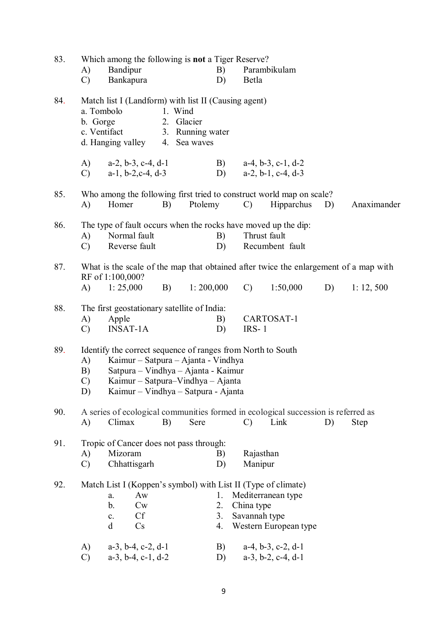| 83. | Which among the following is <b>not</b> a Tiger Reserve? |                                                                                                                                                                          |                       |                                                                                                                                                        |                             |                                                                                           |    |             |  |
|-----|----------------------------------------------------------|--------------------------------------------------------------------------------------------------------------------------------------------------------------------------|-----------------------|--------------------------------------------------------------------------------------------------------------------------------------------------------|-----------------------------|-------------------------------------------------------------------------------------------|----|-------------|--|
|     | A)                                                       | Bandipur                                                                                                                                                                 |                       | B)                                                                                                                                                     |                             | Parambikulam                                                                              |    |             |  |
|     | $\mathcal{C}$                                            | Bankapura                                                                                                                                                                |                       | D)                                                                                                                                                     | Betla                       |                                                                                           |    |             |  |
| 84. | b. Gorge                                                 | Match list I (Landform) with list II (Causing agent)<br>a. Tombolo<br>c. Ventifact<br>d. Hanging valley 4. Sea waves                                                     | 1. Wind<br>2. Glacier | 3. Running water                                                                                                                                       |                             |                                                                                           |    |             |  |
|     | A)<br>$\mathcal{C}$ )                                    | $a-2, b-3, c-4, d-1$<br>$a-1$ , $b-2$ , $c-4$ , $d-3$                                                                                                                    |                       | D)                                                                                                                                                     |                             | B) $a-4, b-3, c-1, d-2$<br>$a-2$ , $b-1$ , $c-4$ , $d-3$                                  |    |             |  |
| 85. | A)                                                       | Homer                                                                                                                                                                    | B)                    | Ptolemy                                                                                                                                                | $\mathcal{C}$               | Who among the following first tried to construct world map on scale?<br>Hipparchus        | D) | Anaximander |  |
| 86. | A)<br>$\mathcal{C}$                                      | The type of fault occurs when the rocks have moved up the dip:<br>Normal fault<br>Reverse fault                                                                          |                       | B)<br>D)                                                                                                                                               |                             | Thrust fault<br>Recumbent fault                                                           |    |             |  |
| 87. |                                                          | RF of 1:100,000?                                                                                                                                                         |                       |                                                                                                                                                        |                             | What is the scale of the map that obtained after twice the enlargement of a map with      |    |             |  |
|     | (A)                                                      | 1: 25,000                                                                                                                                                                | <b>B</b> )            | 1:200,000                                                                                                                                              | $\mathcal{C}$               | 1:50,000                                                                                  | D) | 1: 12, 500  |  |
| 88. | A)<br>$\mathcal{C}$                                      | The first geostationary satellite of India:<br>Apple<br><b>INSAT-1A</b>                                                                                                  |                       | B)<br>D)                                                                                                                                               | $IRS-1$                     | CARTOSAT-1                                                                                |    |             |  |
| 89. | A)<br>B)<br>$\mathcal{C}$<br>D)                          | Identify the correct sequence of ranges from North to South                                                                                                              |                       | Kaimur – Satpura – Ajanta - Vindhya<br>Satpura – Vindhya – Ajanta - Kaimur<br>Kaimur – Satpura–Vindhya – Ajanta<br>Kaimur - Vindhya - Satpura - Ajanta |                             |                                                                                           |    |             |  |
| 90. | A)                                                       | Climax                                                                                                                                                                   | B)                    | Sere                                                                                                                                                   | $\mathcal{C}$               | A series of ecological communities formed in ecological succession is referred as<br>Link | D) | <b>Step</b> |  |
| 91. | A)<br>$\mathcal{C}$                                      | Tropic of Cancer does not pass through:<br>Mizoram<br>Chhattisgarh                                                                                                       |                       | B)<br>D)                                                                                                                                               | Rajasthan<br>Manipur        |                                                                                           |    |             |  |
| 92. | A)                                                       | Match List I (Koppen's symbol) with List II (Type of climate)<br>Aw<br>a.<br>b.<br>$\mathbf{C}\mathbf{w}$<br><b>Cf</b><br>c.<br>Cs<br>d<br>$a-3$ , $b-4$ , $c-2$ , $d-1$ |                       | 1.<br>2.<br>3.<br>4.<br>B)                                                                                                                             | China type<br>Savannah type | Mediterranean type<br>Western European type<br>$a-4$ , $b-3$ , $c-2$ , $d-1$              |    |             |  |
|     | $\mathcal{C}$                                            | $a-3$ , $b-4$ , $c-1$ , $d-2$                                                                                                                                            |                       | D)                                                                                                                                                     |                             | $a-3$ , $b-2$ , $c-4$ , $d-1$                                                             |    |             |  |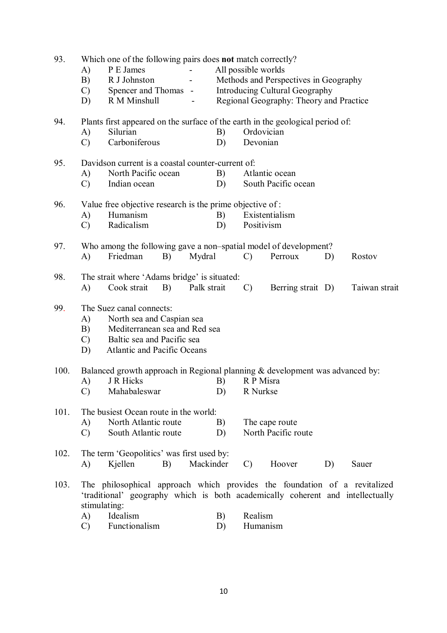| 93.  |               | Which one of the following pairs does not match correctly?                     |             |                     |               |                                         |    |               |  |
|------|---------------|--------------------------------------------------------------------------------|-------------|---------------------|---------------|-----------------------------------------|----|---------------|--|
|      | A)            | P E James                                                                      |             | All possible worlds |               |                                         |    |               |  |
|      | B)            | R J Johnston                                                                   |             |                     |               | Methods and Perspectives in Geography   |    |               |  |
|      | $\mathcal{C}$ | Spencer and Thomas -                                                           |             |                     |               | <b>Introducing Cultural Geography</b>   |    |               |  |
|      | D)            | R M Minshull                                                                   |             |                     |               | Regional Geography: Theory and Practice |    |               |  |
| 94.  |               | Plants first appeared on the surface of the earth in the geological period of: |             |                     |               |                                         |    |               |  |
|      | A)            | Silurian                                                                       |             | B)                  | Ordovician    |                                         |    |               |  |
|      | $\mathcal{C}$ | Carboniferous                                                                  |             | D)                  | Devonian      |                                         |    |               |  |
| 95.  |               | Davidson current is a coastal counter-current of:                              |             |                     |               |                                         |    |               |  |
|      | A)            | North Pacific ocean                                                            |             | B)                  |               | Atlantic ocean                          |    |               |  |
|      | $\mathcal{C}$ | Indian ocean                                                                   |             | D)                  |               | South Pacific ocean                     |    |               |  |
| 96.  |               | Value free objective research is the prime objective of:                       |             |                     |               |                                         |    |               |  |
|      | A)            | Humanism                                                                       |             | B)                  |               | Existentialism                          |    |               |  |
|      | $\mathcal{C}$ | Radicalism                                                                     |             | D)                  | Positivism    |                                         |    |               |  |
| 97.  |               | Who among the following gave a non-spatial model of development?               |             |                     |               |                                         |    |               |  |
|      | A)            | Friedman<br>B)                                                                 | Mydral      |                     | $\mathcal{C}$ | Perroux                                 | D) | Rostov        |  |
| 98.  |               | The strait where 'Adams bridge' is situated:                                   |             |                     |               |                                         |    |               |  |
|      | A)            | Cook strait<br>B)                                                              | Palk strait |                     | $\mathcal{C}$ | Berring strait D)                       |    | Taiwan strait |  |
| 99.  |               | The Suez canal connects:                                                       |             |                     |               |                                         |    |               |  |
|      | A)            | North sea and Caspian sea                                                      |             |                     |               |                                         |    |               |  |
|      | B)            | Mediterranean sea and Red sea                                                  |             |                     |               |                                         |    |               |  |
|      | $\mathcal{C}$ | Baltic sea and Pacific sea                                                     |             |                     |               |                                         |    |               |  |
|      | D)            | Atlantic and Pacific Oceans                                                    |             |                     |               |                                         |    |               |  |
| 100. |               | Balanced growth approach in Regional planning & development was advanced by:   |             |                     |               |                                         |    |               |  |
|      | A)            | J R Hicks                                                                      |             | B)                  | R P Misra     |                                         |    |               |  |
|      | $\mathcal{C}$ | Mahabaleswar                                                                   |             | D)                  | R Nurkse      |                                         |    |               |  |
| 101. |               | The busiest Ocean route in the world:                                          |             |                     |               |                                         |    |               |  |
|      | A)            | North Atlantic route                                                           |             | B)                  |               | The cape route                          |    |               |  |
|      | $\mathcal{C}$ | South Atlantic route                                                           |             | D)                  |               | North Pacific route                     |    |               |  |
| 102. |               | The term 'Geopolitics' was first used by:                                      |             |                     |               |                                         |    |               |  |
|      | A)            | Kjellen<br>B)                                                                  | Mackinder   |                     | $\mathcal{C}$ | Hoover                                  | D) | Sauer         |  |
| 103. |               | The philosophical approach which provides the foundation of a revitalized      |             |                     |               |                                         |    |               |  |
|      | stimulating:  | 'traditional' geography which is both academically coherent and intellectually |             |                     |               |                                         |    |               |  |
|      | A)            | Idealism                                                                       |             | B)                  | Realism       |                                         |    |               |  |
|      | $\mathcal{C}$ | Functionalism                                                                  |             | D)                  | Humanism      |                                         |    |               |  |
|      |               |                                                                                |             |                     |               |                                         |    |               |  |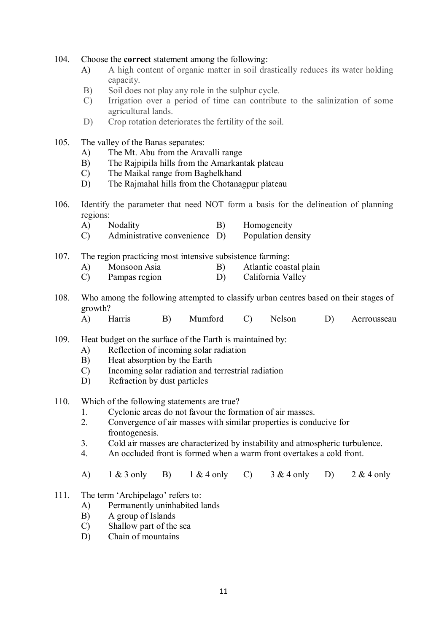## 104. Choose the **correct** statement among the following:

- A) A high content of organic matter in soil drastically reduces its water holding capacity.
- B) Soil does not play any role in the sulphur cycle.
- C) Irrigation over a period of time can contribute to the salinization of some agricultural lands.
- D) Crop rotation deteriorates the fertility of the soil.
- 105. The valley of the Banas separates:
	- A) The Mt. Abu from the Aravalli range
	- B) The Rajpipila hills from the Amarkantak plateau
	- C) The Maikal range from Baghelkhand
	- D) The Rajmahal hills from the Chotanagpur plateau
- 106. Identify the parameter that need NOT form a basis for the delineation of planning regions:
	- A) Nodality B) Homogeneity
	- C) Administrative convenience D) Population density
- 107. The region practicing most intensive subsistence farming:
	- A) Monsoon Asia B) Atlantic coastal plain
	- C) Pampas region D) California Valley
- 108. Who among the following attempted to classify urban centres based on their stages of growth?
	- A) Harris B) Mumford C) Nelson D) Aerrousseau
- 109. Heat budget on the surface of the Earth is maintained by:
	- A) Reflection of incoming solar radiation
	- B) Heat absorption by the Earth
	- C) Incoming solar radiation and terrestrial radiation
	- D) Refraction by dust particles
- 110. Which of the following statements are true?
	- 1. Cyclonic areas do not favour the formation of air masses.
	- 2. Convergence of air masses with similar properties is conducive for frontogenesis.
	- 3. Cold air masses are characterized by instability and atmospheric turbulence.
	- 4. An occluded front is formed when a warm front overtakes a cold front.
	- A)  $1 \& 3$  only B)  $1 \& 4$  only C)  $3 \& 4$  only D)  $2 \& 4$  only
- 111. The term 'Archipelago' refers to:
	- A) Permanently uninhabited lands
	- B) A group of Islands
	- C) Shallow part of the sea
	- D) Chain of mountains